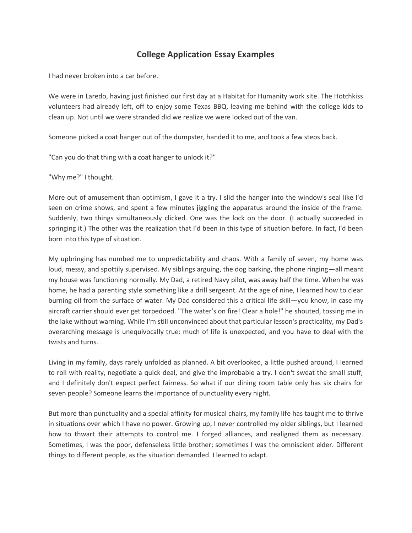## **College Application Essay Examples**

I had never broken into a car before.

We were in Laredo, having just finished our first day at a Habitat for Humanity work site. The Hotchkiss volunteers had already left, off to enjoy some Texas BBQ, leaving me behind with the college kids to clean up. Not until we were stranded did we realize we were locked out of the van.

Someone picked a coat hanger out of the dumpster, handed it to me, and took a few steps back.

"Can you do that thing with a coat hanger to unlock it?"

"Why me?" I thought.

More out of amusement than optimism, I gave it a try. I slid the hanger into the window's seal like I'd seen on crime shows, and spent a few minutes jiggling the apparatus around the inside of the frame. Suddenly, two things simultaneously clicked. One was the lock on the door. (I actually succeeded in springing it.) The other was the realization that I'd been in this type of situation before. In fact, I'd been born into this type of situation.

My upbringing has numbed me to unpredictability and chaos. With a family of seven, my home was loud, messy, and spottily supervised. My siblings arguing, the dog barking, the phone ringing—all meant my house was functioning normally. My Dad, a retired Navy pilot, was away half the time. When he was home, he had a parenting style something like a drill sergeant. At the age of nine, I learned how to clear burning oil from the surface of water. My Dad considered this a critical life skill—you know, in case my aircraft carrier should ever get torpedoed. "The water's on fire! Clear a hole!" he shouted, tossing me in the lake without warning. While I'm still unconvinced about that particular lesson's practicality, my Dad's overarching message is unequivocally true: much of life is unexpected, and you have to deal with the twists and turns.

Living in my family, days rarely unfolded as planned. A bit overlooked, a little pushed around, I learned to roll with reality, negotiate a quick deal, and give the improbable a try. I don't sweat the small stuff, and I definitely don't expect perfect fairness. So what if our dining room table only has six chairs for seven people? Someone learns the importance of punctuality every night.

But more than punctuality and a special affinity for musical chairs, my family life has taught me to thrive in situations over which I have no power. Growing up, I never controlled my older siblings, but I learned how to thwart their attempts to control me. I forged alliances, and realigned them as necessary. Sometimes, I was the poor, defenseless little brother; sometimes I was the omniscient elder. Different things to different people, as the situation demanded. I learned to adapt.